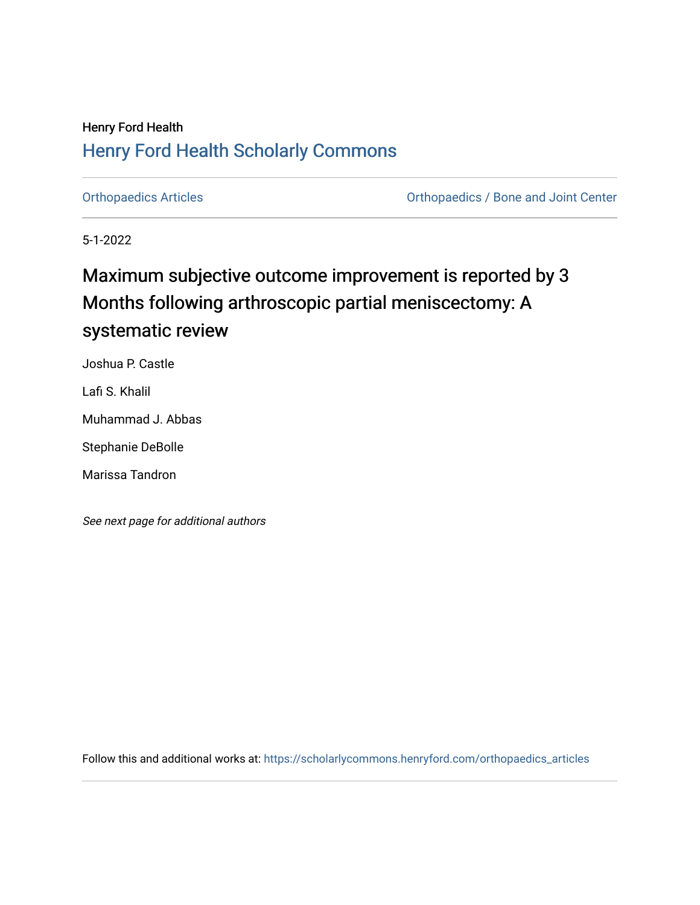# Henry Ford Health [Henry Ford Health Scholarly Commons](https://scholarlycommons.henryford.com/)

[Orthopaedics Articles](https://scholarlycommons.henryford.com/orthopaedics_articles) [Orthopaedics / Bone and Joint Center](https://scholarlycommons.henryford.com/orthopaedics) 

5-1-2022

# Maximum subjective outcome improvement is reported by 3 Months following arthroscopic partial meniscectomy: A systematic review

Joshua P. Castle

Lafi S. Khalil

Muhammad J. Abbas

Stephanie DeBolle

Marissa Tandron

See next page for additional authors

Follow this and additional works at: [https://scholarlycommons.henryford.com/orthopaedics\\_articles](https://scholarlycommons.henryford.com/orthopaedics_articles?utm_source=scholarlycommons.henryford.com%2Forthopaedics_articles%2F404&utm_medium=PDF&utm_campaign=PDFCoverPages)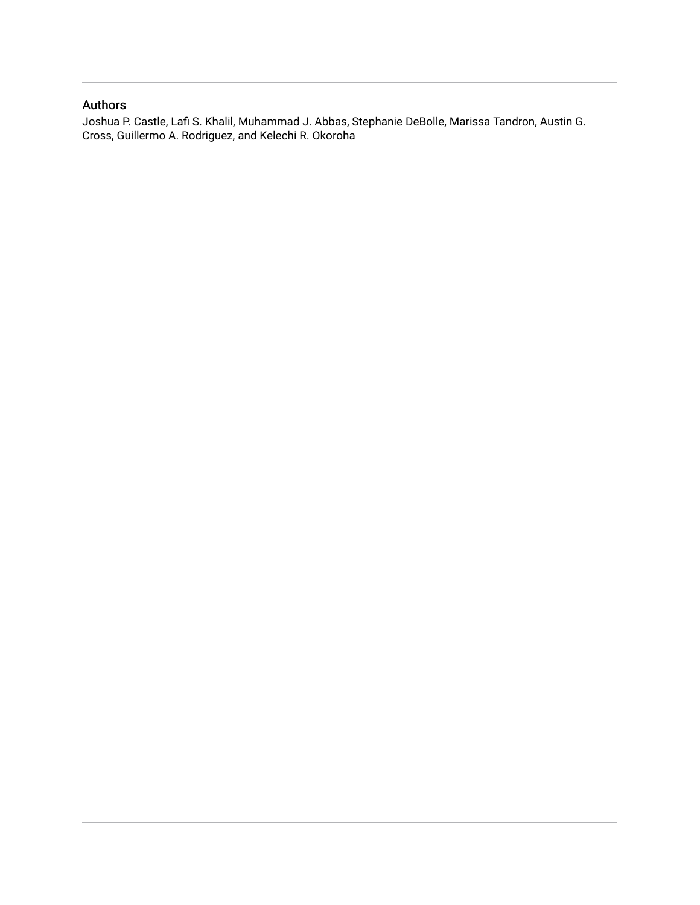# Authors

Joshua P. Castle, Lafi S. Khalil, Muhammad J. Abbas, Stephanie DeBolle, Marissa Tandron, Austin G. Cross, Guillermo A. Rodriguez, and Kelechi R. Okoroha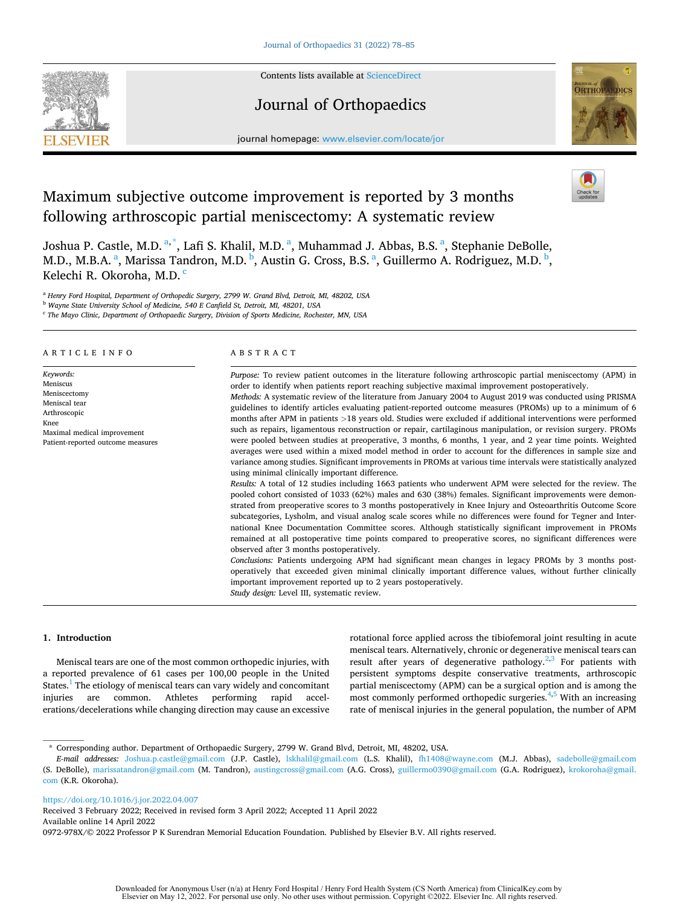

Contents lists available at [ScienceDirect](www.sciencedirect.com/science/journal/0972978X)

# Journal of Orthopaedics



journal homepage: [www.elsevier.com/locate/jor](https://www.elsevier.com/locate/jor)

# Maximum subjective outcome improvement is reported by 3 months following arthroscopic partial meniscectomy: A systematic review

Joshua P. Castle, M.D. <sup>a, \*</sup>, Lafi S. Khalil, M.D. <sup>a</sup>, Muhammad J. Abbas, B.S. <sup>a</sup>, Stephanie DeBolle, M.D., M.B.A. <sup>a</sup>, Marissa Tandron, M.D. <sup>b</sup>, Austin G. Cross, B.S. <sup>a</sup>, Guillermo A. Rodriguez, M.D. <sup>b</sup>, Kelechi R. Okoroha, M.D.<sup>c</sup>

<sup>a</sup> *Henry Ford Hospital, Department of Orthopedic Surgery, 2799 W. Grand Blvd, Detroit, MI, 48202, USA* 

<sup>b</sup> *Wayne State University School of Medicine, 540 E Canfield St, Detroit, MI, 48201, USA* 

<sup>c</sup> *The Mayo Clinic, Department of Orthopaedic Surgery, Division of Sports Medicine, Rochester, MN, USA* 

# ARTICLE INFO

*Keywords:*  Meniscus Meniscectomy Meniscal tear Arthroscopic Knee Maximal medical improvement Patient-reported outcome measures

# ABSTRACT

*Purpose:* To review patient outcomes in the literature following arthroscopic partial meniscectomy (APM) in order to identify when patients report reaching subjective maximal improvement postoperatively. *Methods:* A systematic review of the literature from January 2004 to August 2019 was conducted using PRISMA guidelines to identify articles evaluating patient-reported outcome measures (PROMs) up to a minimum of 6 months after APM in patients *>*18 years old. Studies were excluded if additional interventions were performed such as repairs, ligamentous reconstruction or repair, cartilaginous manipulation, or revision surgery. PROMs were pooled between studies at preoperative, 3 months, 6 months, 1 year, and 2 year time points. Weighted averages were used within a mixed model method in order to account for the differences in sample size and variance among studies. Significant improvements in PROMs at various time intervals were statistically analyzed using minimal clinically important difference.

*Results:* A total of 12 studies including 1663 patients who underwent APM were selected for the review. The pooled cohort consisted of 1033 (62%) males and 630 (38%) females. Significant improvements were demonstrated from preoperative scores to 3 months postoperatively in Knee Injury and Osteoarthritis Outcome Score subcategories, Lysholm, and visual analog scale scores while no differences were found for Tegner and International Knee Documentation Committee scores. Although statistically significant improvement in PROMs remained at all postoperative time points compared to preoperative scores, no significant differences were observed after 3 months postoperatively.

*Conclusions:* Patients undergoing APM had significant mean changes in legacy PROMs by 3 months postoperatively that exceeded given minimal clinically important difference values, without further clinically important improvement reported up to 2 years postoperatively. *Study design:* Level III, systematic review.

# **1. Introduction**

Meniscal tears are one of the most common orthopedic injuries, with a reported prevalence of 61 cases per 100,00 people in the United States.<sup>1</sup> The etiology of meniscal tears can vary widely and concomitant injuries are common. Athletes performing rapid accelerations/decelerations while changing direction may cause an excessive rotational force applied across the tibiofemoral joint resulting in acute meniscal tears. Alternatively, chronic or degenerative meniscal tears can result after years of degenerative pathology.<sup>2,3</sup> For patients with persistent symptoms despite conservative treatments, arthroscopic partial meniscectomy (APM) can be a surgical option and is among the most commonly performed orthopedic surgeries.<sup>4,5</sup> With an increasing rate of meniscal injuries in the general population, the number of APM

<https://doi.org/10.1016/j.jor.2022.04.007>

Available online 14 April 2022 0972-978X/© 2022 Professor P K Surendran Memorial Education Foundation. Published by Elsevier B.V. All rights reserved. Received 3 February 2022; Received in revised form 3 April 2022; Accepted 11 April 2022

<sup>\*</sup> Corresponding author. Department of Orthopaedic Surgery, 2799 W. Grand Blvd, Detroit, MI, 48202, USA.

*E-mail addresses:* [Joshua.p.castle@gmail.com](mailto:Joshua.p.castle@gmail.com) (J.P. Castle), [lskhalil@gmail.com](mailto:lskhalil@gmail.com) (L.S. Khalil), [fh1408@wayne.com](mailto:fh1408@wayne.com) (M.J. Abbas), [sadebolle@gmail.com](mailto:sadebolle@gmail.com)  (S. DeBolle), [marissatandron@gmail.com](mailto:marissatandron@gmail.com) (M. Tandron), [austingcross@gmail.com](mailto:austingcross@gmail.com) (A.G. Cross), [guillermo0390@gmail.com](mailto:guillermo0390@gmail.com) (G.A. Rodriguez), [krokoroha@gmail.](mailto:krokoroha@gmail.com)  [com](mailto:krokoroha@gmail.com) (K.R. Okoroha).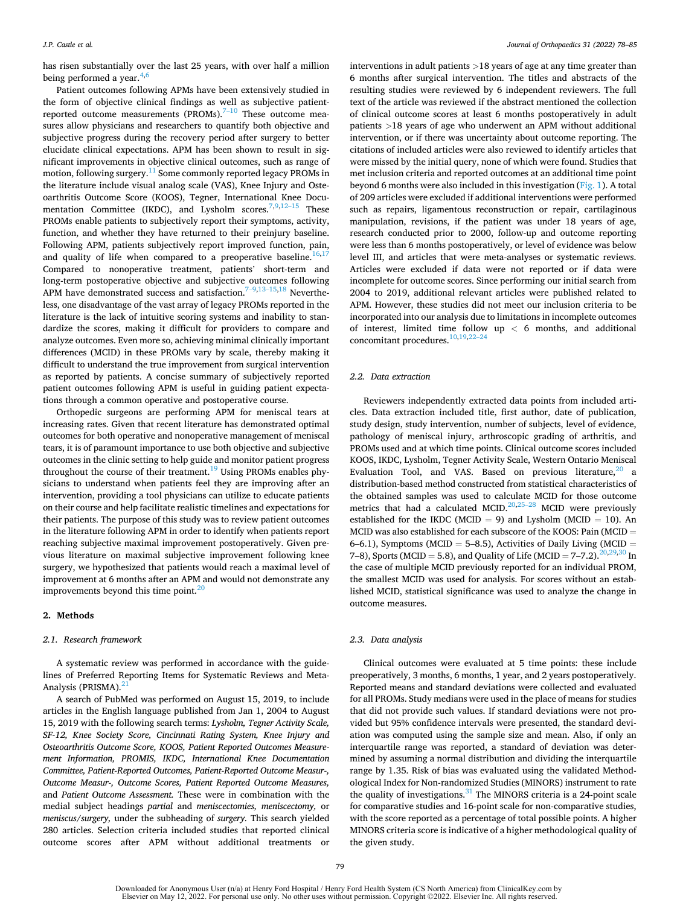has risen substantially over the last 25 years, with over half a million being performed a year. $4,6$ 

Patient outcomes following APMs have been extensively studied in the form of objective clinical findings as well as subjective patientreported outcome measurements (PROMs). $7-10$  These outcome measures allow physicians and researchers to quantify both objective and subjective progress during the recovery period after surgery to better elucidate clinical expectations. APM has been shown to result in significant improvements in objective clinical outcomes, such as range of motion, following surgery.[11 Some commonly reported legacy PROMs in](#page-8-0)  the literature include visual analog scale (VAS), Knee Injury and Osteoarthritis Outcome Score (KOOS), Tegner, International Knee Documentation Committee (IKDC), and Lysholm scores. $^{7,9,12-15}$  $^{7,9,12-15}$  $^{7,9,12-15}$  These PROMs enable patients to subjectively report their symptoms, activity, function, and whether they have returned to their preinjury baseline. Following APM, patients subjectively report improved function, pain, and quality of life when compared to a preoperative baseline.<sup>16,1</sup> Compared to nonoperative treatment, patients' short-term and long-term postoperative objective and subjective outcomes following APM have demonstrated success and satisfaction.<sup> $7-9,13-15,18$  $7-9,13-15,18$  $7-9,13-15,18$ </sup> Nevertheless, one disadvantage of the vast array of legacy PROMs reported in the literature is the lack of intuitive scoring systems and inability to standardize the scores, making it difficult for providers to compare and analyze outcomes. Even more so, achieving minimal clinically important differences (MCID) in these PROMs vary by scale, thereby making it difficult to understand the true improvement from surgical intervention as reported by patients. A concise summary of subjectively reported patient outcomes following APM is useful in guiding patient expectations through a common operative and postoperative course.

Orthopedic surgeons are performing APM for meniscal tears at increasing rates. Given that recent literature has demonstrated optimal outcomes for both operative and nonoperative management of meniscal tears, it is of paramount importance to use both objective and subjective outcomes in the clinic setting to help guide and monitor patient progress throughout the course of their treatment.<sup>19</sup> Using PROMs enables physicians to understand when patients feel they are improving after an intervention, providing a tool physicians can utilize to educate patients on their course and help facilitate realistic timelines and expectations for their patients. The purpose of this study was to review patient outcomes in the literature following APM in order to identify when patients report reaching subjective maximal improvement postoperatively. Given previous literature on maximal subjective improvement following knee surgery, we hypothesized that patients would reach a maximal level of improvement at 6 months after an APM and would not demonstrate any improvements beyond this time point. $^{20}$  $^{20}$  $^{20}$ 

# **2. Methods**

# *2.1. Research framework*

A systematic review was performed in accordance with the guidelines of Preferred Reporting Items for Systematic Reviews and Meta-Analysis (PRISMA).<sup>[21](#page-8-0)</sup>

A search of PubMed was performed on August 15, 2019, to include articles in the English language published from Jan 1, 2004 to August 15, 2019 with the following search terms: *Lysholm, Tegner Activity Scale, SF-12, Knee Society Score, Cincinnati Rating System, Knee Injury and Osteoarthritis Outcome Score, KOOS, Patient Reported Outcomes Measurement Information, PROMIS, IKDC, International Knee Documentation Committee, Patient-Reported Outcomes, Patient-Reported Outcome Measur-, Outcome Measur-, Outcome Scores, Patient Reported Outcome Measures,*  and *Patient Outcome Assessment.* These were in combination with the medial subject headings *partial* and *meniscectomies, meniscectomy,* or *meniscus/surgery,* under the subheading of *surgery.* This search yielded 280 articles. Selection criteria included studies that reported clinical outcome scores after APM without additional treatments or

interventions in adult patients *>*18 years of age at any time greater than 6 months after surgical intervention. The titles and abstracts of the resulting studies were reviewed by 6 independent reviewers. The full text of the article was reviewed if the abstract mentioned the collection of clinical outcome scores at least 6 months postoperatively in adult patients *>*18 years of age who underwent an APM without additional intervention, or if there was uncertainty about outcome reporting. The citations of included articles were also reviewed to identify articles that were missed by the initial query, none of which were found. Studies that met inclusion criteria and reported outcomes at an additional time point beyond 6 months were also included in this investigation [\(Fig. 1\)](#page-4-0). A total of 209 articles were excluded if additional interventions were performed such as repairs, ligamentous reconstruction or repair, cartilaginous manipulation, revisions, if the patient was under 18 years of age, research conducted prior to 2000, follow-up and outcome reporting were less than 6 months postoperatively, or level of evidence was below level III, and articles that were meta-analyses or systematic reviews. Articles were excluded if data were not reported or if data were incomplete for outcome scores. Since performing our initial search from 2004 to 2019, additional relevant articles were published related to APM. However, these studies did not meet our inclusion criteria to be incorporated into our analysis due to limitations in incomplete outcomes of interest, limited time follow up *<* 6 months, and additional concomitant procedures.<sup>[10,19,2](#page-8-0)2-2</sup>

# *2.2. Data extraction*

Reviewers independently extracted data points from included articles. Data extraction included title, first author, date of publication, study design, study intervention, number of subjects, level of evidence, pathology of meniscal injury, arthroscopic grading of arthritis, and PROMs used and at which time points. Clinical outcome scores included KOOS, IKDC, Lysholm, Tegner Activity Scale, Western Ontario Meniscal Evaluation Tool, and VAS. Based on previous literature,  $20$  a distribution-based method constructed from statistical characteristics of the obtained samples was used to calculate MCID for those outcome metrics that had a calculated MCID.<sup>[20,](#page-8-0)25-28</sup> MCID were previously established for the IKDC (MCID = 9) and Lysholm (MCID = 10). An MCID was also established for each subscore of the KOOS: Pain (MCID = 6–6.1), Symptoms (MCID = 5–8.5), Activities of Daily Living (MCID = 7–8), Sports (MCID = 5.8), and Quality of Life (MCID = 7–7.2).  $^{20,29,30}$  In the case of multiple MCID previously reported for an individual PROM, the smallest MCID was used for analysis. For scores without an established MCID, statistical significance was used to analyze the change in outcome measures.

# *2.3. Data analysis*

Clinical outcomes were evaluated at 5 time points: these include preoperatively, 3 months, 6 months, 1 year, and 2 years postoperatively. Reported means and standard deviations were collected and evaluated for all PROMs. Study medians were used in the place of means for studies that did not provide such values. If standard deviations were not provided but 95% confidence intervals were presented, the standard deviation was computed using the sample size and mean. Also, if only an interquartile range was reported, a standard of deviation was determined by assuming a normal distribution and dividing the interquartile range by 1.35. Risk of bias was evaluated using the validated Methodological Index for Non-randomized Studies (MINORS) instrument to rate the quality of investigations. $31$  The MINORS criteria is a 24-point scale for comparative studies and 16-point scale for non-comparative studies, with the score reported as a percentage of total possible points. A higher MINORS criteria score is indicative of a higher methodological quality of the given study.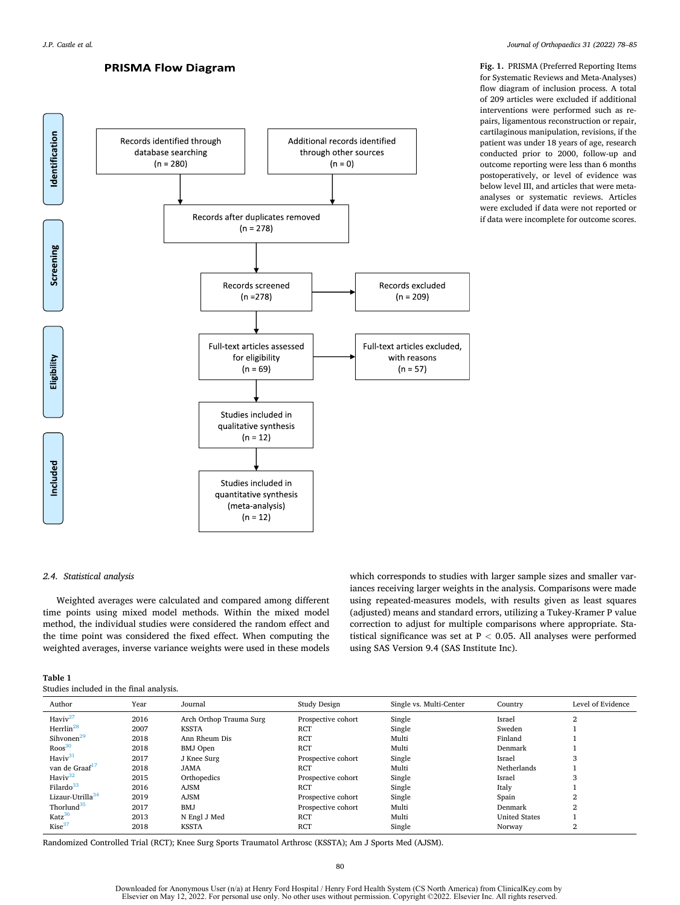# **PRISMA Flow Diagram**

**Fig. 1.** PRISMA (Preferred Reporting Items for Systematic Reviews and Meta-Analyses) flow diagram of inclusion process. A total of 209 articles were excluded if additional interventions were performed such as repairs, ligamentous reconstruction or repair, cartilaginous manipulation, revisions, if the patient was under 18 years of age, research conducted prior to 2000, follow-up and outcome reporting were less than 6 months postoperatively, or level of evidence was below level III, and articles that were metaanalyses or systematic reviews. Articles were excluded if data were not reported or if data were incomplete for outcome scores.

<span id="page-4-0"></span>

# *2.4. Statistical analysis*

Weighted averages were calculated and compared among different time points using mixed model methods. Within the mixed model method, the individual studies were considered the random effect and the time point was considered the fixed effect. When computing the weighted averages, inverse variance weights were used in these models which corresponds to studies with larger sample sizes and smaller variances receiving larger weights in the analysis. Comparisons were made using repeated-measures models, with results given as least squares (adjusted) means and standard errors, utilizing a Tukey-Kramer P value correction to adjust for multiple comparisons where appropriate. Statistical significance was set at P *<* 0.05. All analyses were performed using SAS Version 9.4 (SAS Institute Inc).

| Table 1                                 |  |  |  |
|-----------------------------------------|--|--|--|
| Studies included in the final analysis. |  |  |  |

| Author                       | Year | Journal                 | Study Design       | Single vs. Multi-Center | Country              | Level of Evidence |
|------------------------------|------|-------------------------|--------------------|-------------------------|----------------------|-------------------|
| Haviv <sup>27</sup>          | 2016 | Arch Orthop Trauma Surg | Prospective cohort | Single                  | Israel               | 2                 |
| Herrlin <sup>28</sup>        | 2007 | <b>KSSTA</b>            | <b>RCT</b>         | Single                  | Sweden               |                   |
| Sihvonen <sup>29</sup>       | 2018 | Ann Rheum Dis           | <b>RCT</b>         | Multi                   | Finland              |                   |
| Roos <sup>30</sup>           | 2018 | <b>BMJ</b> Open         | <b>RCT</b>         | Multi                   | Denmark              |                   |
| Haviv <sup>31</sup>          | 2017 | J Knee Surg             | Prospective cohort | Single                  | Israel               | 3                 |
| van de Graaf <sup>17</sup>   | 2018 | <b>JAMA</b>             | <b>RCT</b>         | Multi                   | Netherlands          |                   |
| Havi $v^{32}$                | 2015 | Orthopedics             | Prospective cohort | Single                  | Israel               | 3                 |
| Filardo <sup>33</sup>        | 2016 | <b>AJSM</b>             | <b>RCT</b>         | Single                  | Italy                |                   |
| Lizaur-Utrilla <sup>34</sup> | 2019 | <b>AJSM</b>             | Prospective cohort | Single                  | Spain                | $\overline{2}$    |
| Thorlund <sup>35</sup>       | 2017 | BMJ                     | Prospective cohort | Multi                   | Denmark              | $\mathbf{2}$      |
| Katz <sup>36</sup>           | 2013 | N Engl J Med            | <b>RCT</b>         | Multi                   | <b>United States</b> |                   |
| Kise <sup>37</sup>           | 2018 | <b>KSSTA</b>            | <b>RCT</b>         | Single                  | Norway               | 2                 |

Randomized Controlled Trial (RCT); Knee Surg Sports Traumatol Arthrosc (KSSTA); Am J Sports Med (AJSM).

Downloaded for Anonymous User (n/a) at Henry Ford Hospital / Henry Ford Health System (CS North America) from ClinicalKey.com by<br>Elsevier on May 12, 2022. For personal use only. No other uses without permission. Copyright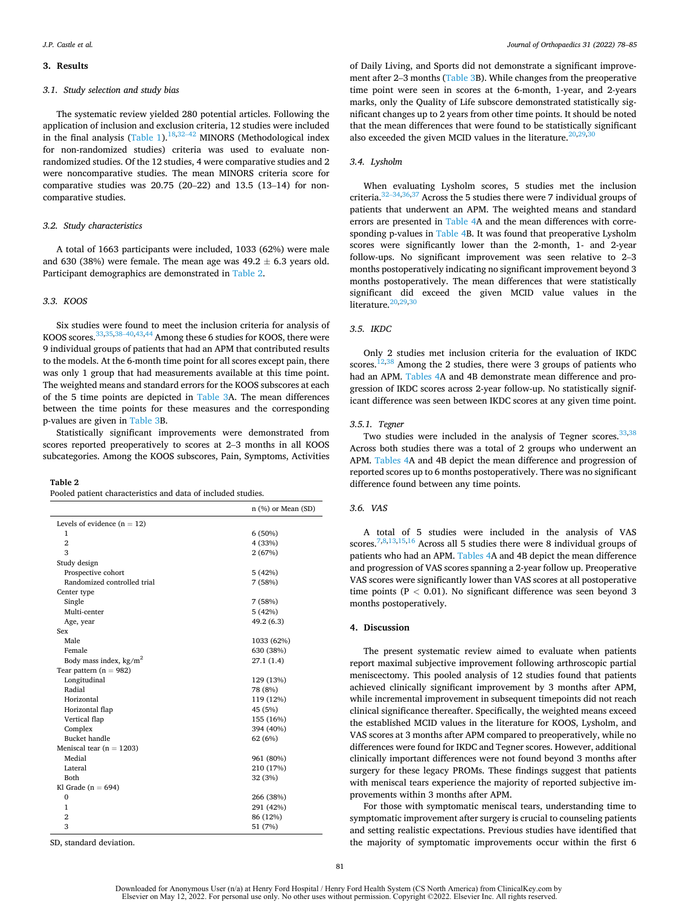#### **3. Results**

# *3.1. Study selection and study bias*

The systematic review yielded 280 potential articles. Following the application of inclusion and exclusion criteria, 12 studies were included in the final analysis ([Table 1\)](#page-4-0).<sup>[18,](#page-8-0)32–42</sup> MINORS (Methodological index for non-randomized studies) criteria was used to evaluate nonrandomized studies. Of the 12 studies, 4 were comparative studies and 2 were noncomparative studies. The mean MINORS criteria score for comparative studies was 20.75 (20–22) and 13.5 (13–14) for noncomparative studies.

# *3.2. Study characteristics*

A total of 1663 participants were included, 1033 (62%) were male and 630 (38%) were female. The mean age was  $49.2 \pm 6.3$  years old. Participant demographics are demonstrated in Table 2.

# *3.3. KOOS*

Six studies were found to meet the inclusion criteria for analysis of KOOS scores.<sup>[33,35,3](#page-9-0)8–40,43,44</sup> Among these 6 studies for KOOS, there were 9 individual groups of patients that had an APM that contributed results to the models. At the 6-month time point for all scores except pain, there was only 1 group that had measurements available at this time point. The weighted means and standard errors for the KOOS subscores at each of the 5 time points are depicted in [Table 3](#page-6-0)A. The mean differences between the time points for these measures and the corresponding p-values are given in [Table 3](#page-6-0)B.

Statistically significant improvements were demonstrated from scores reported preoperatively to scores at 2–3 months in all KOOS subcategories. Among the KOOS subscores, Pain, Symptoms, Activities

#### **Table 2**

Pooled patient characteristics and data of included studies.

|                               | n (%) or Mean (SD) |
|-------------------------------|--------------------|
| Levels of evidence $(n = 12)$ |                    |
| 1                             | 6(50%)             |
| $\overline{2}$                | 4 (33%)            |
| 3                             | 2(67%)             |
| Study design                  |                    |
| Prospective cohort            | 5(42%)             |
| Randomized controlled trial   | 7 (58%)            |
| Center type                   |                    |
| Single                        | 7(58%)             |
| Multi-center                  | 5(42%)             |
| Age, year                     | 49.2 (6.3)         |
| Sex                           |                    |
| Male                          | 1033 (62%)         |
| Female                        | 630 (38%)          |
| Body mass index, $kg/m2$      | 27.1(1.4)          |
| Tear pattern $(n = 982)$      |                    |
| Longitudinal                  | 129 (13%)          |
| Radial                        | 78 (8%)            |
| Horizontal                    | 119 (12%)          |
| Horizontal flap               | 45 (5%)            |
| Vertical flap                 | 155 (16%)          |
| Complex                       | 394 (40%)          |
| Bucket handle                 | 62 (6%)            |
| Meniscal tear ( $n = 1203$ )  |                    |
| Medial                        | 961 (80%)          |
| Lateral                       | 210 (17%)          |
| Both                          | 32 (3%)            |
| Kl Grade ( $n = 694$ )        |                    |
| $\mathbf 0$                   | 266 (38%)          |
| $\mathbf{1}$                  | 291 (42%)          |
| $\overline{2}$                | 86 (12%)           |
| 3                             | 51 (7%)            |

SD, standard deviation.

of Daily Living, and Sports did not demonstrate a significant improvement after 2–3 months ([Table 3B](#page-6-0)). While changes from the preoperative time point were seen in scores at the 6-month, 1-year, and 2-years marks, only the Quality of Life subscore demonstrated statistically significant changes up to 2 years from other time points. It should be noted that the mean differences that were found to be statistically significant also exceeded the given MCID values in the literature. $20,29,30$  $20,29,30$ 

#### *3.4. Lysholm*

When evaluating Lysholm scores, 5 studies met the inclusion criteria.32–[34,36,37 Across the 5 studies there were 7 individual groups of](#page-9-0)  patients that underwent an APM. The weighted means and standard errors are presented in [Table 4](#page-6-0)A and the mean differences with corre-sponding p-values in [Table 4B](#page-6-0). It was found that preoperative Lysholm scores were significantly lower than the 2-month, 1- and 2-year follow-ups. No significant improvement was seen relative to 2–3 months postoperatively indicating no significant improvement beyond 3 months postoperatively. The mean differences that were statistically significant did exceed the given MCID value values in the literature. $20,29,30$  $20,29,30$ 

# *3.5. IKDC*

Only 2 studies met inclusion criteria for the evaluation of IKDC scores.<sup>12,38</sup> Among the 2 studies, there were 3 groups of patients who had an APM. [Tables 4](#page-6-0)A and 4B demonstrate mean difference and progression of IKDC scores across 2-year follow-up. No statistically significant difference was seen between IKDC scores at any given time point.

#### *3.5.1. Tegner*

Two studies were included in the analysis of Tegner scores.<sup>33,38</sup> Across both studies there was a total of 2 groups who underwent an APM. [Tables 4](#page-6-0)A and 4B depict the mean difference and progression of reported scores up to 6 months postoperatively. There was no significant difference found between any time points.

# *3.6. VAS*

A total of 5 studies were included in the analysis of VAS scores[.7,8,13,15,16 Across all 5 studies there were 8 individual groups of](#page-8-0)  patients who had an APM. [Tables 4](#page-6-0)A and 4B depict the mean difference and progression of VAS scores spanning a 2-year follow up. Preoperative VAS scores were significantly lower than VAS scores at all postoperative time points (P *<* 0.01). No significant difference was seen beyond 3 months postoperatively.

## **4. Discussion**

The present systematic review aimed to evaluate when patients report maximal subjective improvement following arthroscopic partial meniscectomy. This pooled analysis of 12 studies found that patients achieved clinically significant improvement by 3 months after APM, while incremental improvement in subsequent timepoints did not reach clinical significance thereafter. Specifically, the weighted means exceed the established MCID values in the literature for KOOS, Lysholm, and VAS scores at 3 months after APM compared to preoperatively, while no differences were found for IKDC and Tegner scores. However, additional clinically important differences were not found beyond 3 months after surgery for these legacy PROMs. These findings suggest that patients with meniscal tears experience the majority of reported subjective improvements within 3 months after APM.

For those with symptomatic meniscal tears, understanding time to symptomatic improvement after surgery is crucial to counseling patients and setting realistic expectations. Previous studies have identified that the majority of symptomatic improvements occur within the first 6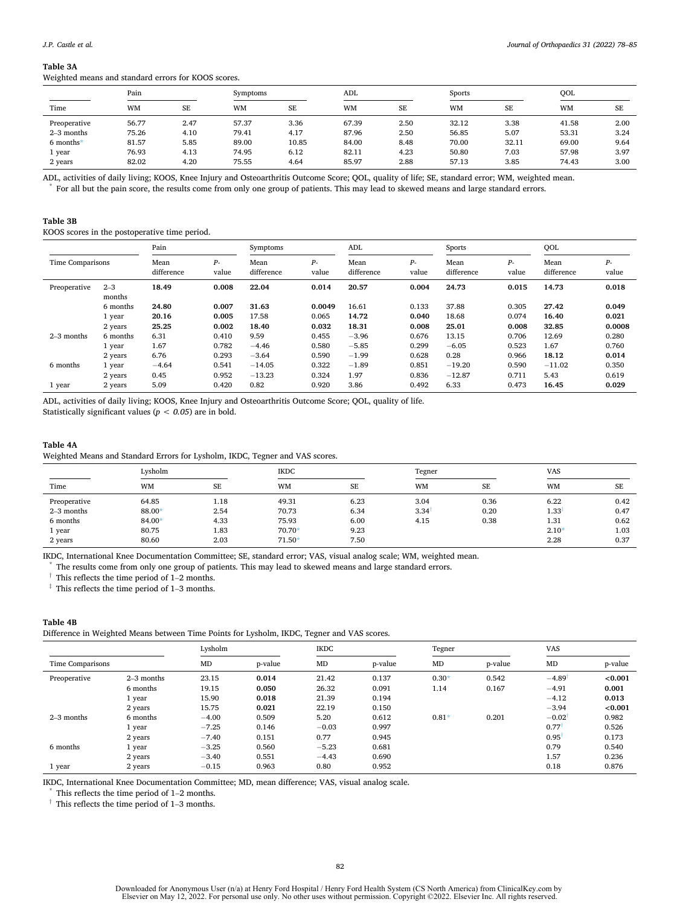#### <span id="page-6-0"></span>**Table 3A**

Weighted means and standard errors for KOOS scores.

| Pain           |           | Symptoms |           |           | ADL   |           | Sports    |           | OOL       |           |
|----------------|-----------|----------|-----------|-----------|-------|-----------|-----------|-----------|-----------|-----------|
| Time           | <b>WM</b> | SE       | <b>WM</b> | <b>SE</b> | WM    | <b>SE</b> | <b>WM</b> | <b>SE</b> | <b>WM</b> | <b>SE</b> |
| Preoperative   | 56.77     | 2.47     | 57.37     | 3.36      | 67.39 | 2.50      | 32.12     | 3.38      | 41.58     | 2.00      |
| $2-3$ months   | 75.26     | 4.10     | 79.41     | 4.17      | 87.96 | 2.50      | 56.85     | 5.07      | 53.31     | 3.24      |
| $6$ months $*$ | 81.57     | 5.85     | 89.00     | 10.85     | 84.00 | 8.48      | 70.00     | 32.11     | 69.00     | 9.64      |
| 1 year         | 76.93     | 4.13     | 74.95     | 6.12      | 82.11 | 4.23      | 50.80     | 7.03      | 57.98     | 3.97      |
| 2 years        | 82.02     | 4.20     | 75.55     | 4.64      | 85.97 | 2.88      | 57.13     | 3.85      | 74.43     | 3.00      |

ADL, activities of daily living; KOOS, Knee Injury and Osteoarthritis Outcome Score; QOL, quality of life; SE, standard error; WM, weighted mean.<br>\* For all but the pain score, the results come from only one group of patien

### **Table 3B**

KOOS scores in the postoperative time period.

|                  |                   | Pain               |             | Symptoms           |             | ADL                |               | Sports             |             | QOL                |             |
|------------------|-------------------|--------------------|-------------|--------------------|-------------|--------------------|---------------|--------------------|-------------|--------------------|-------------|
| Time Comparisons |                   | Mean<br>difference | р.<br>value | Mean<br>difference | р.<br>value | Mean<br>difference | $P-$<br>value | Mean<br>difference | р.<br>value | Mean<br>difference | р.<br>value |
| Preoperative     | $2 - 3$<br>months | 18.49              | 0.008       | 22.04              | 0.014       | 20.57              | 0.004         | 24.73              | 0.015       | 14.73              | 0.018       |
|                  | 6 months          | 24.80              | 0.007       | 31.63              | 0.0049      | 16.61              | 0.133         | 37.88              | 0.305       | 27.42              | 0.049       |
|                  | 1 year            | 20.16              | 0.005       | 17.58              | 0.065       | 14.72              | 0.040         | 18.68              | 0.074       | 16.40              | 0.021       |
|                  | 2 years           | 25.25              | 0.002       | 18.40              | 0.032       | 18.31              | 0.008         | 25.01              | 0.008       | 32.85              | 0.0008      |
| $2-3$ months     | 6 months          | 6.31               | 0.410       | 9.59               | 0.455       | $-3.96$            | 0.676         | 13.15              | 0.706       | 12.69              | 0.280       |
|                  | 1 year            | 1.67               | 0.782       | $-4.46$            | 0.580       | $-5.85$            | 0.299         | $-6.05$            | 0.523       | 1.67               | 0.760       |
|                  | 2 years           | 6.76               | 0.293       | $-3.64$            | 0.590       | $-1.99$            | 0.628         | 0.28               | 0.966       | 18.12              | 0.014       |
| 6 months         | 1 year            | $-4.64$            | 0.541       | $-14.05$           | 0.322       | $-1.89$            | 0.851         | $-19.20$           | 0.590       | $-11.02$           | 0.350       |
|                  | 2 years           | 0.45               | 0.952       | $-13.23$           | 0.324       | 1.97               | 0.836         | $-12.87$           | 0.711       | 5.43               | 0.619       |
| 1 year           | 2 years           | 5.09               | 0.420       | 0.82               | 0.920       | 3.86               | 0.492         | 6.33               | 0.473       | 16.45              | 0.029       |

ADL, activities of daily living; KOOS, Knee Injury and Osteoarthritis Outcome Score; QOL, quality of life. Statistically significant values (*p < 0.05*) are in bold.

# **Table 4A**

Weighted Means and Standard Errors for Lysholm, IKDC, Tegner and VAS scores.

|              | Lysholm   |           | <b>IKDC</b> |           | Tegner    |           | <b>VAS</b> |           |
|--------------|-----------|-----------|-------------|-----------|-----------|-----------|------------|-----------|
| Time         | <b>WM</b> | <b>SE</b> | <b>WM</b>   | <b>SE</b> | <b>WM</b> | <b>SE</b> | WM         | <b>SE</b> |
| Preoperative | 64.85     | 1.18      | 49.31       | 6.23      | 3.04      | 0.36      | 6.22       | 0.42      |
| $2-3$ months | 88.00*    | 2.54      | 70.73       | 6.34      | 3.34      | 0.20      | 1.33       | 0.47      |
| 6 months     | 84.00*    | 4.33      | 75.93       | 6.00      | 4.15      | 0.38      | 1.31       | 0.62      |
| 1 year       | 80.75     | 1.83      | 70.70*      | 9.23      |           |           | $2.10*$    | 1.03      |
| 2 years      | 80.60     | 2.03      | $71.50*$    | 7.50      |           |           | 2.28       | 0.37      |

IKDC, International Knee Documentation Committee; SE, standard error; VAS, visual analog scale; WM, weighted mean. \* The results come from only one group of patients. This may lead to skewed means and large standard errors.

 $^\dagger$  This reflects the time period of 1–2 months.

 $\dagger$  This reflects the time period of 1–3 months.

#### **Table 4B**

Difference in Weighted Means between Time Points for Lysholm, IKDC, Tegner and VAS scores.

|                  |              | Lysholm |         | <b>IKDC</b> |         | Tegner  |         | VAS                  |         |
|------------------|--------------|---------|---------|-------------|---------|---------|---------|----------------------|---------|
| Time Comparisons |              | MD      | p-value | MD          | p-value | MD      | p-value | MD                   | p-value |
| Preoperative     | $2-3$ months | 23.15   | 0.014   | 21.42       | 0.137   | $0.30*$ | 0.542   | $-4.89$              | < 0.001 |
|                  | 6 months     | 19.15   | 0.050   | 26.32       | 0.091   | 1.14    | 0.167   | $-4.91$              | 0.001   |
|                  | 1 year       | 15.90   | 0.018   | 21.39       | 0.194   |         |         | $-4.12$              | 0.013   |
|                  | 2 years      | 15.75   | 0.021   | 22.19       | 0.150   |         |         | $-3.94$              | < 0.001 |
| $2-3$ months     | 6 months     | $-4.00$ | 0.509   | 5.20        | 0.612   | $0.81*$ | 0.201   | $-0.02$ <sup>t</sup> | 0.982   |
|                  | 1 year       | $-7.25$ | 0.146   | $-0.03$     | 0.997   |         |         | 0.77                 | 0.526   |
|                  | 2 years      | $-7.40$ | 0.151   | 0.77        | 0.945   |         |         | 0.95                 | 0.173   |
| 6 months         | 1 year       | $-3.25$ | 0.560   | $-5.23$     | 0.681   |         |         | 0.79                 | 0.540   |
|                  | 2 years      | $-3.40$ | 0.551   | $-4.43$     | 0.690   |         |         | 1.57                 | 0.236   |
| 1 year           | 2 years      | $-0.15$ | 0.963   | 0.80        | 0.952   |         |         | 0.18                 | 0.876   |

IKDC, International Knee Documentation Committee; MD, mean difference; VAS, visual analog scale. \* This reflects the time period of 1–2 months.

 $^\dagger$  This reflects the time period of 1–3 months.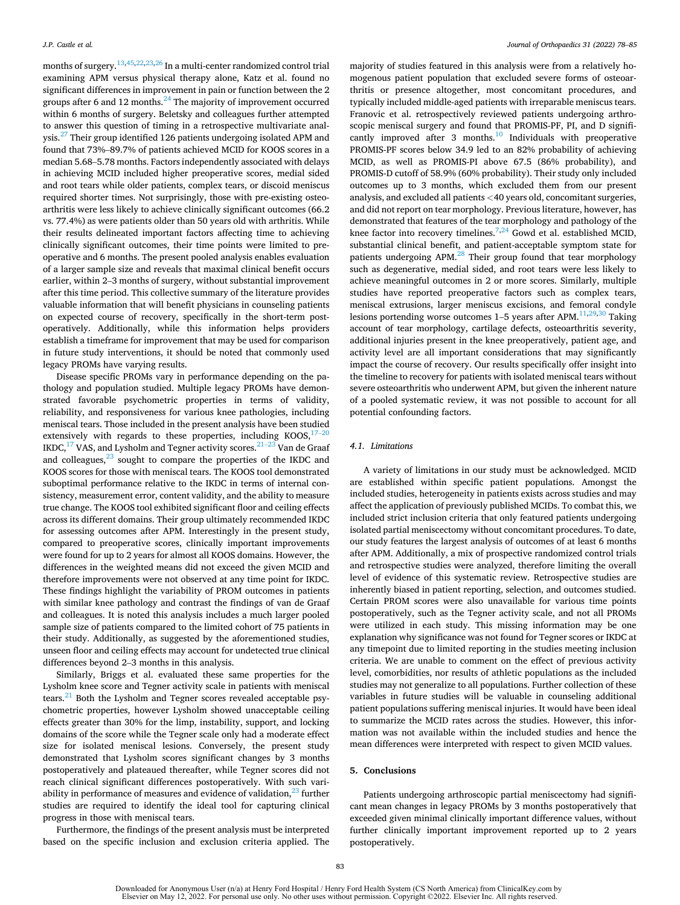months of surgery.[13,](#page-8-0)[45,](#page-9-0)[22,23,26 In a multi-center randomized control trial](#page-8-0)  examining APM versus physical therapy alone, Katz et al. found no significant differences in improvement in pain or function between the 2 groups after 6 and 12 months. $^{24}$  The majority of improvement occurred within 6 months of surgery. Beletsky and colleagues further attempted to answer this question of timing in a retrospective multivariate analysis.<sup>27</sup> Their group identified 126 patients undergoing isolated APM and found that 73%–89.7% of patients achieved MCID for KOOS scores in a median 5.68–5.78 months. Factors independently associated with delays in achieving MCID included higher preoperative scores, medial sided and root tears while older patients, complex tears, or discoid meniscus required shorter times. Not surprisingly, those with pre-existing osteoarthritis were less likely to achieve clinically significant outcomes (66.2 vs. 77.4%) as were patients older than 50 years old with arthritis. While their results delineated important factors affecting time to achieving clinically significant outcomes, their time points were limited to preoperative and 6 months. The present pooled analysis enables evaluation of a larger sample size and reveals that maximal clinical benefit occurs earlier, within 2–3 months of surgery, without substantial improvement after this time period. This collective summary of the literature provides valuable information that will benefit physicians in counseling patients on expected course of recovery, specifically in the short-term postoperatively. Additionally, while this information helps providers establish a timeframe for improvement that may be used for comparison in future study interventions, it should be noted that commonly used legacy PROMs have varying results.

Disease specific PROMs vary in performance depending on the pathology and population studied. Multiple legacy PROMs have demonstrated favorable psychometric properties in terms of validity, reliability, and responsiveness for various knee pathologies, including meniscal tears. Those included in the present analysis have been studied extensively with regards to these properties, including  $KOOS$ ,  $17–20$  $IKDC$ ,<sup>17</sup> VAS, and Lysholm and Tegner activity scores.<sup>21–23</sup> Van de Graaf and colleagues, $23$  sought to compare the properties of the IKDC and KOOS scores for those with meniscal tears. The KOOS tool demonstrated suboptimal performance relative to the IKDC in terms of internal consistency, measurement error, content validity, and the ability to measure true change. The KOOS tool exhibited significant floor and ceiling effects across its different domains. Their group ultimately recommended IKDC for assessing outcomes after APM. Interestingly in the present study, compared to preoperative scores, clinically important improvements were found for up to 2 years for almost all KOOS domains. However, the differences in the weighted means did not exceed the given MCID and therefore improvements were not observed at any time point for IKDC. These findings highlight the variability of PROM outcomes in patients with similar knee pathology and contrast the findings of van de Graaf and colleagues. It is noted this analysis includes a much larger pooled sample size of patients compared to the limited cohort of 75 patients in their study. Additionally, as suggested by the aforementioned studies, unseen floor and ceiling effects may account for undetected true clinical differences beyond 2–3 months in this analysis.

Similarly, Briggs et al. evaluated these same properties for the Lysholm knee score and Tegner activity scale in patients with meniscal tears.<sup>21</sup> Both the Lysholm and Tegner scores revealed acceptable psychometric properties, however Lysholm showed unacceptable ceiling effects greater than 30% for the limp, instability, support, and locking domains of the score while the Tegner scale only had a moderate effect size for isolated meniscal lesions. Conversely, the present study demonstrated that Lysholm scores significant changes by 3 months postoperatively and plateaued thereafter, while Tegner scores did not reach clinical significant differences postoperatively. With such variability in performance of measures and evidence of validation, $^{23}$  further studies are required to identify the ideal tool for capturing clinical progress in those with meniscal tears.

Furthermore, the findings of the present analysis must be interpreted based on the specific inclusion and exclusion criteria applied. The majority of studies featured in this analysis were from a relatively homogenous patient population that excluded severe forms of osteoarthritis or presence altogether, most concomitant procedures, and typically included middle-aged patients with irreparable meniscus tears. Franovic et al. retrospectively reviewed patients undergoing arthroscopic meniscal surgery and found that PROMIS-PF, PI, and D significantly improved after 3 months.<sup>10</sup> Individuals with preoperative PROMIS-PF scores below 34.9 led to an 82% probability of achieving MCID, as well as PROMIS-PI above 67.5 (86% probability), and PROMIS-D cutoff of 58.9% (60% probability). Their study only included outcomes up to 3 months, which excluded them from our present analysis, and excluded all patients *<*40 years old, concomitant surgeries, and did not report on tear morphology. Previous literature, however, has demonstrated that features of the tear morphology and pathology of the knee factor into recovery timelines.<sup>7,24</sup> Gowd et al. established MCID, substantial clinical benefit, and patient-acceptable symptom state for patients undergoing  $APM<sup>28</sup>$ . Their group found that tear morphology such as degenerative, medial sided, and root tears were less likely to achieve meaningful outcomes in 2 or more scores. Similarly, multiple studies have reported preoperative factors such as complex tears, meniscal extrusions, larger meniscus excisions, and femoral condyle lesions portending worse outcomes 1–5 years after APM.<sup>11,29,30</sup> Taking account of tear morphology, cartilage defects, osteoarthritis severity, additional injuries present in the knee preoperatively, patient age, and activity level are all important considerations that may significantly impact the course of recovery. Our results specifically offer insight into the timeline to recovery for patients with isolated meniscal tears without severe osteoarthritis who underwent APM, but given the inherent nature of a pooled systematic review, it was not possible to account for all potential confounding factors.

#### *4.1. Limitations*

A variety of limitations in our study must be acknowledged. MCID are established within specific patient populations. Amongst the included studies, heterogeneity in patients exists across studies and may affect the application of previously published MCIDs. To combat this, we included strict inclusion criteria that only featured patients undergoing isolated partial meniscectomy without concomitant procedures. To date, our study features the largest analysis of outcomes of at least 6 months after APM. Additionally, a mix of prospective randomized control trials and retrospective studies were analyzed, therefore limiting the overall level of evidence of this systematic review. Retrospective studies are inherently biased in patient reporting, selection, and outcomes studied. Certain PROM scores were also unavailable for various time points postoperatively, such as the Tegner activity scale, and not all PROMs were utilized in each study. This missing information may be one explanation why significance was not found for Tegner scores or IKDC at any timepoint due to limited reporting in the studies meeting inclusion criteria. We are unable to comment on the effect of previous activity level, comorbidities, nor results of athletic populations as the included studies may not generalize to all populations. Further collection of these variables in future studies will be valuable in counseling additional patient populations suffering meniscal injuries. It would have been ideal to summarize the MCID rates across the studies. However, this information was not available within the included studies and hence the mean differences were interpreted with respect to given MCID values.

#### **5. Conclusions**

Patients undergoing arthroscopic partial meniscectomy had significant mean changes in legacy PROMs by 3 months postoperatively that exceeded given minimal clinically important difference values, without further clinically important improvement reported up to 2 years postoperatively.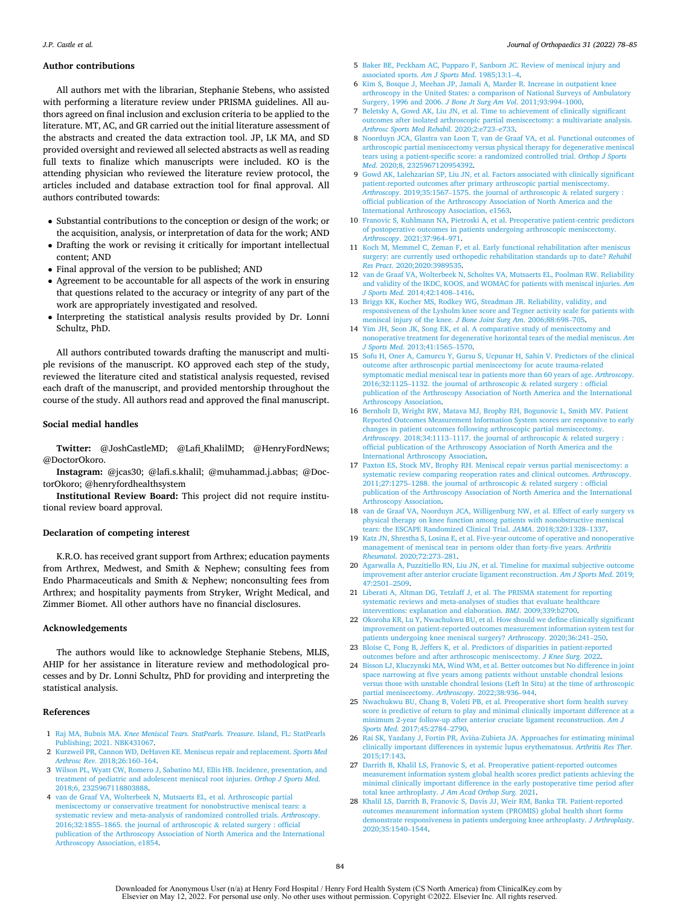#### <span id="page-8-0"></span>**Author contributions**

All authors met with the librarian, Stephanie Stebens, who assisted with performing a literature review under PRISMA guidelines. All authors agreed on final inclusion and exclusion criteria to be applied to the literature. MT, AC, and GR carried out the initial literature assessment of the abstracts and created the data extraction tool. JP, LK MA, and SD provided oversight and reviewed all selected abstracts as well as reading full texts to finalize which manuscripts were included. KO is the attending physician who reviewed the literature review protocol, the articles included and database extraction tool for final approval. All authors contributed towards:

- Substantial contributions to the conception or design of the work; or the acquisition, analysis, or interpretation of data for the work; AND
- Drafting the work or revising it critically for important intellectual content; AND
- Final approval of the version to be published; AND
- Agreement to be accountable for all aspects of the work in ensuring that questions related to the accuracy or integrity of any part of the work are appropriately investigated and resolved.
- Interpreting the statistical analysis results provided by Dr. Lonni Schultz, PhD.

All authors contributed towards drafting the manuscript and multiple revisions of the manuscript. KO approved each step of the study, reviewed the literature cited and statistical analysis requested, revised each draft of the manuscript, and provided mentorship throughout the course of the study. All authors read and approved the final manuscript.

#### **Social medial handles**

**Twitter:** @JoshCastleMD; @Lafi\_KhalilMD; @HenryFordNews; @DoctorOkoro.

**Instagram:** @jcas30; @lafi.s.khalil; @muhammad.j.abbas; @DoctorOkoro; @henryfordhealthsystem

**Institutional Review Board:** This project did not require institutional review board approval.

#### **Declaration of competing interest**

K.R.O. has received grant support from Arthrex; education payments from Arthrex, Medwest, and Smith & Nephew; consulting fees from Endo Pharmaceuticals and Smith & Nephew; nonconsulting fees from Arthrex; and hospitality payments from Stryker, Wright Medical, and Zimmer Biomet. All other authors have no financial disclosures.

#### **Acknowledgements**

The authors would like to acknowledge Stephanie Stebens, MLIS, AHIP for her assistance in literature review and methodological processes and by Dr. Lonni Schultz, PhD for providing and interpreting the statistical analysis.

# **References**

- 1 Raj MA, Bubnis MA. *[Knee Meniscal Tears. StatPearls. Treasure](http://refhub.elsevier.com/S0972-978X(22)00085-X/sref1)*. Island, FL: StatPearls [Publishing; 2021. NBK431067.](http://refhub.elsevier.com/S0972-978X(22)00085-X/sref1)
- 2 [Kurzweil PR, Cannon WD, DeHaven KE. Meniscus repair and replacement.](http://refhub.elsevier.com/S0972-978X(22)00085-X/sref2) *Sports Med Arthrosc Rev*[. 2018;26:160](http://refhub.elsevier.com/S0972-978X(22)00085-X/sref2)–164.
- 3 [Wilson PL, Wyatt CW, Romero J, Sabatino MJ, Ellis HB. Incidence, presentation, and](http://refhub.elsevier.com/S0972-978X(22)00085-X/sref3)  [treatment of pediatric and adolescent meniscal root injuries.](http://refhub.elsevier.com/S0972-978X(22)00085-X/sref3) *Orthop J Sports Med*. [2018;6, 2325967118803888.](http://refhub.elsevier.com/S0972-978X(22)00085-X/sref3)
- 4 [van de Graaf VA, Wolterbeek N, Mutsaerts EL, et al. Arthroscopic partial](http://refhub.elsevier.com/S0972-978X(22)00085-X/sref4)  [meniscectomy or conservative treatment for nonobstructive meniscal tears: a](http://refhub.elsevier.com/S0972-978X(22)00085-X/sref4) [systematic review and meta-analysis of randomized controlled trials.](http://refhub.elsevier.com/S0972-978X(22)00085-X/sref4) *Arthroscopy*. 2016;32:1855–[1865. the journal of arthroscopic](http://refhub.elsevier.com/S0972-978X(22)00085-X/sref4) & related surgery : official [publication of the Arthroscopy Association of North America and the International](http://refhub.elsevier.com/S0972-978X(22)00085-X/sref4) [Arthroscopy Association, e1854.](http://refhub.elsevier.com/S0972-978X(22)00085-X/sref4)
- 5 [Baker BE, Peckham AC, Pupparo F, Sanborn JC. Review of meniscal injury and](http://refhub.elsevier.com/S0972-978X(22)00085-X/sref5)  [associated sports.](http://refhub.elsevier.com/S0972-978X(22)00085-X/sref5) *Am J Sports Med*. 1985;13:1–4.
- 6 [Kim S, Bosque J, Meehan JP, Jamali A, Marder R. Increase in outpatient knee](http://refhub.elsevier.com/S0972-978X(22)00085-X/sref6) [arthroscopy in the United States: a comparison of National Surveys of Ambulatory](http://refhub.elsevier.com/S0972-978X(22)00085-X/sref6)  [Surgery, 1996 and 2006.](http://refhub.elsevier.com/S0972-978X(22)00085-X/sref6) *J Bone Jt Surg Am Vol*. 2011;93:994–1000.
- 7 [Beletsky A, Gowd AK, Liu JN, et al. Time to achievement of clinically significant](http://refhub.elsevier.com/S0972-978X(22)00085-X/sref7) [outcomes after isolated arthroscopic partial meniscectomy: a multivariate analysis.](http://refhub.elsevier.com/S0972-978X(22)00085-X/sref7)  *[Arthrosc Sports Med Rehabil](http://refhub.elsevier.com/S0972-978X(22)00085-X/sref7)*. 2020;2:e723–e733.
- 8 [Noorduyn JCA, Glastra van Loon T, van de Graaf VA, et al. Functional outcomes of](http://refhub.elsevier.com/S0972-978X(22)00085-X/sref8)  [arthroscopic partial meniscectomy versus physical therapy for degenerative meniscal](http://refhub.elsevier.com/S0972-978X(22)00085-X/sref8)  [tears using a patient-specific score: a randomized controlled trial.](http://refhub.elsevier.com/S0972-978X(22)00085-X/sref8) *Orthop J Sports Med*[. 2020;8, 2325967120954392](http://refhub.elsevier.com/S0972-978X(22)00085-X/sref8).
- 9 [Gowd AK, Lalehzarian SP, Liu JN, et al. Factors associated with clinically significant](http://refhub.elsevier.com/S0972-978X(22)00085-X/sref9)  [patient-reported outcomes after primary arthroscopic partial meniscectomy.](http://refhub.elsevier.com/S0972-978X(22)00085-X/sref9) *Arthroscopy*. 2019;35:1567–[1575. the journal of arthroscopic](http://refhub.elsevier.com/S0972-978X(22)00085-X/sref9) & related surgery : [official publication of the Arthroscopy Association of North America and the](http://refhub.elsevier.com/S0972-978X(22)00085-X/sref9) [International Arthroscopy Association, e1563.](http://refhub.elsevier.com/S0972-978X(22)00085-X/sref9)
- 10 [Franovic S, Kuhlmann NA, Pietroski A, et al. Preoperative patient-centric predictors](http://refhub.elsevier.com/S0972-978X(22)00085-X/sref10)  [of postoperative outcomes in patients undergoing arthroscopic meniscectomy.](http://refhub.elsevier.com/S0972-978X(22)00085-X/sref10) *Arthroscopy*[. 2021;37:964](http://refhub.elsevier.com/S0972-978X(22)00085-X/sref10)–971.
- 11 [Koch M, Memmel C, Zeman F, et al. Early functional rehabilitation after meniscus](http://refhub.elsevier.com/S0972-978X(22)00085-X/sref11) [surgery: are currently used orthopedic rehabilitation standards up to date?](http://refhub.elsevier.com/S0972-978X(22)00085-X/sref11) *Rehabil Res Pract*[. 2020;2020:3989535](http://refhub.elsevier.com/S0972-978X(22)00085-X/sref11).
- 12 [van de Graaf VA, Wolterbeek N, Scholtes VA, Mutsaerts EL, Poolman RW. Reliability](http://refhub.elsevier.com/S0972-978X(22)00085-X/sref12)  [and validity of the IKDC, KOOS, and WOMAC for patients with meniscal injuries.](http://refhub.elsevier.com/S0972-978X(22)00085-X/sref12) *Am J Sports Med*[. 2014;42:1408](http://refhub.elsevier.com/S0972-978X(22)00085-X/sref12)–1416.
- 13 [Briggs KK, Kocher MS, Rodkey WG, Steadman JR. Reliability, validity, and](http://refhub.elsevier.com/S0972-978X(22)00085-X/sref13)  [responsiveness of the Lysholm knee score and Tegner activity scale for patients with](http://refhub.elsevier.com/S0972-978X(22)00085-X/sref13)  [meniscal injury of the knee.](http://refhub.elsevier.com/S0972-978X(22)00085-X/sref13) *J Bone Joint Surg Am*. 2006;88:698–705.
- 14 [Yim JH, Seon JK, Song EK, et al. A comparative study of meniscectomy and](http://refhub.elsevier.com/S0972-978X(22)00085-X/sref14) [nonoperative treatment for degenerative horizontal tears of the medial meniscus.](http://refhub.elsevier.com/S0972-978X(22)00085-X/sref14) *Am J Sports Med*[. 2013;41:1565](http://refhub.elsevier.com/S0972-978X(22)00085-X/sref14)–1570.
- 15 [Sofu H, Oner A, Camurcu Y, Gursu S, Ucpunar H, Sahin V. Predictors of the clinical](http://refhub.elsevier.com/S0972-978X(22)00085-X/sref15)  [outcome after arthroscopic partial meniscectomy for acute trauma-related](http://refhub.elsevier.com/S0972-978X(22)00085-X/sref15)  [symptomatic medial meniscal tear in patients more than 60 years of age.](http://refhub.elsevier.com/S0972-978X(22)00085-X/sref15) *Arthroscopy*. 2016;32:1125–[1132. the journal of arthroscopic](http://refhub.elsevier.com/S0972-978X(22)00085-X/sref15) & related surgery : official [publication of the Arthroscopy Association of North America and the International](http://refhub.elsevier.com/S0972-978X(22)00085-X/sref15)  [Arthroscopy Association.](http://refhub.elsevier.com/S0972-978X(22)00085-X/sref15)
- 16 [Bernholt D, Wright RW, Matava MJ, Brophy RH, Bogunovic L, Smith MV. Patient](http://refhub.elsevier.com/S0972-978X(22)00085-X/sref16) [Reported Outcomes Measurement Information System scores are responsive to early](http://refhub.elsevier.com/S0972-978X(22)00085-X/sref16)  [changes in patient outcomes following arthroscopic partial meniscectomy.](http://refhub.elsevier.com/S0972-978X(22)00085-X/sref16) *Arthroscopy*. 2018;34:1113–[1117. the journal of arthroscopic](http://refhub.elsevier.com/S0972-978X(22)00085-X/sref16) & related surgery : [official publication of the Arthroscopy Association of North America and the](http://refhub.elsevier.com/S0972-978X(22)00085-X/sref16)  [International Arthroscopy Association](http://refhub.elsevier.com/S0972-978X(22)00085-X/sref16).
- 17 [Paxton ES, Stock MV, Brophy RH. Meniscal repair versus partial meniscectomy: a](http://refhub.elsevier.com/S0972-978X(22)00085-X/sref17)  [systematic review comparing reoperation rates and clinical outcomes.](http://refhub.elsevier.com/S0972-978X(22)00085-X/sref17) *Arthroscopy*. 2011;27:1275–[1288. the journal of arthroscopic](http://refhub.elsevier.com/S0972-978X(22)00085-X/sref17) & related surgery : official [publication of the Arthroscopy Association of North America and the International](http://refhub.elsevier.com/S0972-978X(22)00085-X/sref17)  [Arthroscopy Association.](http://refhub.elsevier.com/S0972-978X(22)00085-X/sref17)
- 18 [van de Graaf VA, Noorduyn JCA, Willigenburg NW, et al. Effect of early surgery vs](http://refhub.elsevier.com/S0972-978X(22)00085-X/sref18)  [physical therapy on knee function among patients with nonobstructive meniscal](http://refhub.elsevier.com/S0972-978X(22)00085-X/sref18)  [tears: the ESCAPE Randomized Clinical Trial.](http://refhub.elsevier.com/S0972-978X(22)00085-X/sref18) *JAMA*. 2018;320:1328–1337.
- 19 [Katz JN, Shrestha S, Losina E, et al. Five-year outcome of operative and nonoperative](http://refhub.elsevier.com/S0972-978X(22)00085-X/sref19)  [management of meniscal tear in persons older than forty-five years.](http://refhub.elsevier.com/S0972-978X(22)00085-X/sref19) *Arthritis Rheumatol*[. 2020;72:273](http://refhub.elsevier.com/S0972-978X(22)00085-X/sref19)–281.
- 20 [Agarwalla A, Puzzitiello RN, Liu JN, et al. Timeline for maximal subjective outcome](http://refhub.elsevier.com/S0972-978X(22)00085-X/sref20)  [improvement after anterior cruciate ligament reconstruction.](http://refhub.elsevier.com/S0972-978X(22)00085-X/sref20) *Am J Sports Med*. 2019; [47:2501](http://refhub.elsevier.com/S0972-978X(22)00085-X/sref20)–2509.
- 21 [Liberati A, Altman DG, Tetzlaff J, et al. The PRISMA statement for reporting](http://refhub.elsevier.com/S0972-978X(22)00085-X/sref21) systematic reviews and meta-analyses of studies that evaluate healthca [interventions: explanation and elaboration.](http://refhub.elsevier.com/S0972-978X(22)00085-X/sref21) *BMJ*. 2009;339:b2700.
- 22 [Okoroha KR, Lu Y, Nwachukwu BU, et al. How should we define clinically significant](http://refhub.elsevier.com/S0972-978X(22)00085-X/sref22)  [improvement on patient-reported outcomes measurement information system test for](http://refhub.elsevier.com/S0972-978X(22)00085-X/sref22)  [patients undergoing knee meniscal surgery?](http://refhub.elsevier.com/S0972-978X(22)00085-X/sref22) *Arthroscopy*. 2020;36:241–250.
- 23 [Bloise C, Fong B, Jeffers K, et al. Predictors of disparities in patient-reported](http://refhub.elsevier.com/S0972-978X(22)00085-X/sref23) [outcomes before and after arthroscopic meniscectomy.](http://refhub.elsevier.com/S0972-978X(22)00085-X/sref23) *J Knee Surg*. 2022.
- 24 [Bisson LJ, Kluczynski MA, Wind WM, et al. Better outcomes but No difference in joint](http://refhub.elsevier.com/S0972-978X(22)00085-X/sref24)  space narrowing at five years among patients without unstable chondral lesion [versus those with unstable chondral lesions \(Left In Situ\) at the time of arthroscopic](http://refhub.elsevier.com/S0972-978X(22)00085-X/sref24)  [partial meniscectomy.](http://refhub.elsevier.com/S0972-978X(22)00085-X/sref24) *Arthroscopy*. 2022;38:936–944.
- 25 [Nwachukwu BU, Chang B, Voleti PB, et al. Preoperative short form health survey](http://refhub.elsevier.com/S0972-978X(22)00085-X/sref25) [score is predictive of return to play and minimal clinically important difference at a](http://refhub.elsevier.com/S0972-978X(22)00085-X/sref25)  [minimum 2-year follow-up after anterior cruciate ligament reconstruction.](http://refhub.elsevier.com/S0972-978X(22)00085-X/sref25) *Am J Sports Med*[. 2017;45:2784](http://refhub.elsevier.com/S0972-978X(22)00085-X/sref25)–2790.
- 26 Rai SK, Yazdany J, Fortin PR, Aviña-Zubieta JA. Approaches for estimating minimal [clinically important differences in systemic lupus erythematosus.](http://refhub.elsevier.com/S0972-978X(22)00085-X/sref26) *Arthritis Res Ther*. [2015;17:143.](http://refhub.elsevier.com/S0972-978X(22)00085-X/sref26)
- 27 Darrith B, Khalil LS, Franovic S, et al. Preoperative patient-reported outcome [measurement information system global health scores predict patients achieving the](http://refhub.elsevier.com/S0972-978X(22)00085-X/sref27)  [minimal clinically important difference in the early postoperative time period after](http://refhub.elsevier.com/S0972-978X(22)00085-X/sref27) [total knee arthroplasty.](http://refhub.elsevier.com/S0972-978X(22)00085-X/sref27) *J Am Acad Orthop Surg*. 2021.
- 28 [Khalil LS, Darrith B, Franovic S, Davis JJ, Weir RM, Banka TR. Patient-reported](http://refhub.elsevier.com/S0972-978X(22)00085-X/sref28)  [outcomes measurement information system \(PROMIS\) global health short forms](http://refhub.elsevier.com/S0972-978X(22)00085-X/sref28)  [demonstrate responsiveness in patients undergoing knee arthroplasty.](http://refhub.elsevier.com/S0972-978X(22)00085-X/sref28) *J Arthroplasty*. [2020;35:1540](http://refhub.elsevier.com/S0972-978X(22)00085-X/sref28)–1544.